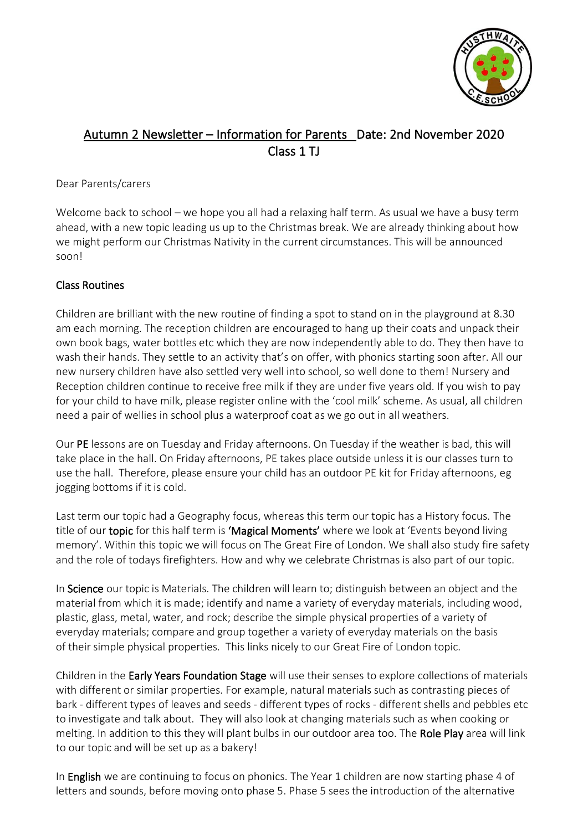

# Autumn 2 Newsletter – Information for Parents Date: 2nd November 2020 Class 1 TJ

#### Dear Parents/carers

Welcome back to school – we hope you all had a relaxing half term. As usual we have a busy term ahead, with a new topic leading us up to the Christmas break. We are already thinking about how we might perform our Christmas Nativity in the current circumstances. This will be announced soon!

### Class Routines

Children are brilliant with the new routine of finding a spot to stand on in the playground at 8.30 am each morning. The reception children are encouraged to hang up their coats and unpack their own book bags, water bottles etc which they are now independently able to do. They then have to wash their hands. They settle to an activity that's on offer, with phonics starting soon after. All our new nursery children have also settled very well into school, so well done to them! Nursery and Reception children continue to receive free milk if they are under five years old. If you wish to pay for your child to have milk, please register online with the 'cool milk' scheme. As usual, all children need a pair of wellies in school plus a waterproof coat as we go out in all weathers.

Our PE lessons are on Tuesday and Friday afternoons. On Tuesday if the weather is bad, this will take place in the hall. On Friday afternoons, PE takes place outside unless it is our classes turn to use the hall. Therefore, please ensure your child has an outdoor PE kit for Friday afternoons, eg jogging bottoms if it is cold.

Last term our topic had a Geography focus, whereas this term our topic has a History focus. The title of our topic for this half term is 'Magical Moments' where we look at 'Events beyond living memory'. Within this topic we will focus on The Great Fire of London. We shall also study fire safety and the role of todays firefighters. How and why we celebrate Christmas is also part of our topic.

In Science our topic is Materials. The children will learn to; distinguish between an object and the material from which it is made; identify and name a variety of everyday materials, including wood, plastic, glass, metal, water, and rock; describe the simple physical properties of a variety of everyday materials; compare and group together a variety of everyday materials on the basis of their simple physical properties. This links nicely to our Great Fire of London topic.

Children in the Early Years Foundation Stage will use their senses to explore collections of materials with different or similar properties. For example, natural materials such as contrasting pieces of bark - different types of leaves and seeds - different types of rocks - different shells and pebbles etc to investigate and talk about. They will also look at changing materials such as when cooking or melting. In addition to this they will plant bulbs in our outdoor area too. The Role Play area will link to our topic and will be set up as a bakery!

In English we are continuing to focus on phonics. The Year 1 children are now starting phase 4 of letters and sounds, before moving onto phase 5. Phase 5 sees the introduction of the alternative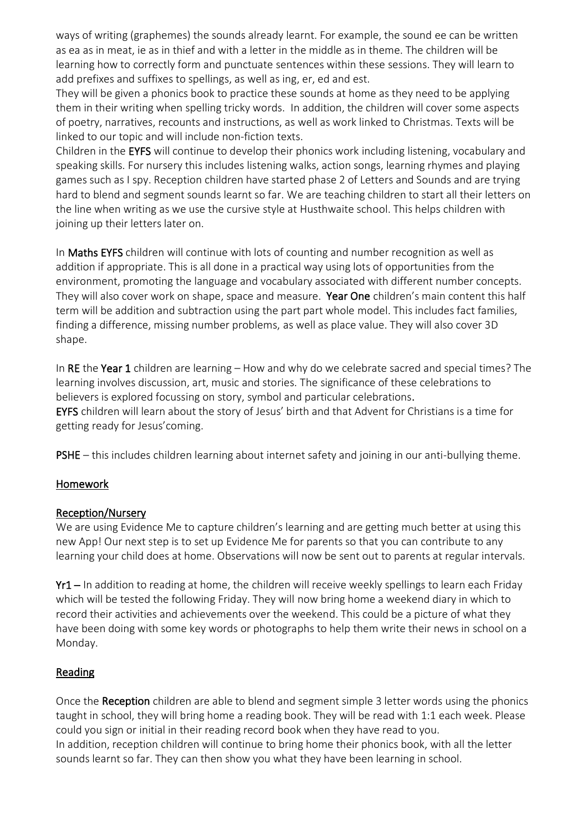ways of writing (graphemes) the sounds already learnt. For example, the sound ee can be written as ea as in meat, ie as in thief and with a letter in the middle as in theme. The children will be learning how to correctly form and punctuate sentences within these sessions. They will learn to add prefixes and suffixes to spellings, as well as ing, er, ed and est.

They will be given a phonics book to practice these sounds at home as they need to be applying them in their writing when spelling tricky words. In addition, the children will cover some aspects of poetry, narratives, recounts and instructions, as well as work linked to Christmas. Texts will be linked to our topic and will include non-fiction texts.

Children in the EYFS will continue to develop their phonics work including listening, vocabulary and speaking skills. For nursery this includes listening walks, action songs, learning rhymes and playing games such as I spy. Reception children have started phase 2 of Letters and Sounds and are trying hard to blend and segment sounds learnt so far. We are teaching children to start all their letters on the line when writing as we use the cursive style at Husthwaite school. This helps children with joining up their letters later on.

In Maths EYFS children will continue with lots of counting and number recognition as well as addition if appropriate. This is all done in a practical way using lots of opportunities from the environment, promoting the language and vocabulary associated with different number concepts. They will also cover work on shape, space and measure. Year One children's main content this half term will be addition and subtraction using the part part whole model. This includes fact families, finding a difference, missing number problems, as well as place value. They will also cover 3D shape.

In RE the Year 1 children are learning – How and why do we celebrate sacred and special times? The learning involves discussion, art, music and stories. The significance of these celebrations to believers is explored focussing on story, symbol and particular celebrations. EYFS children will learn about the story of Jesus' birth and that Advent for Christians is a time for getting ready for Jesus'coming.

PSHE – this includes children learning about internet safety and joining in our anti-bullying theme.

## Homework

#### Reception/Nursery

We are using Evidence Me to capture children's learning and are getting much better at using this new App! Our next step is to set up Evidence Me for parents so that you can contribute to any learning your child does at home. Observations will now be sent out to parents at regular intervals.

Yr1 – In addition to reading at home, the children will receive weekly spellings to learn each Friday which will be tested the following Friday. They will now bring home a weekend diary in which to record their activities and achievements over the weekend. This could be a picture of what they have been doing with some key words or photographs to help them write their news in school on a Monday.

#### **Reading**

Once the Reception children are able to blend and segment simple 3 letter words using the phonics taught in school, they will bring home a reading book. They will be read with 1:1 each week. Please could you sign or initial in their reading record book when they have read to you. In addition, reception children will continue to bring home their phonics book, with all the letter sounds learnt so far. They can then show you what they have been learning in school.